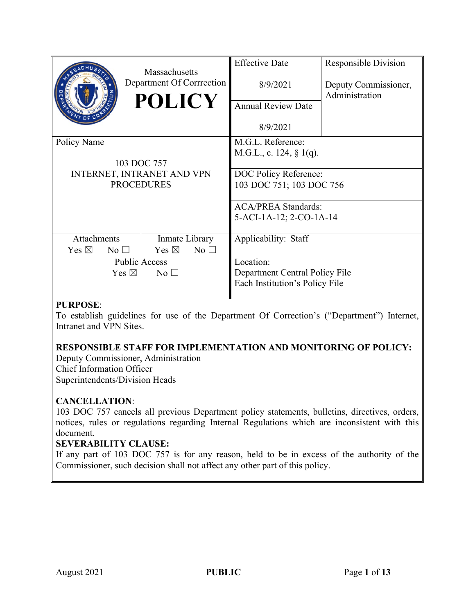|                                    | Massachusetts                      | <b>Effective Date</b>          | <b>Responsible Division</b>            |
|------------------------------------|------------------------------------|--------------------------------|----------------------------------------|
|                                    | Department Of Corrrection          | 8/9/2021                       | Deputy Commissioner,<br>Administration |
|                                    | <b>POLICY</b>                      | <b>Annual Review Date</b>      |                                        |
|                                    |                                    | 8/9/2021                       |                                        |
| Policy Name                        |                                    | M.G.L. Reference:              |                                        |
|                                    |                                    | M.G.L., c. 124, $\S$ 1(q).     |                                        |
|                                    | 103 DOC 757                        |                                |                                        |
|                                    | INTERNET, INTRANET AND VPN         | DOC Policy Reference:          |                                        |
| <b>PROCEDURES</b>                  |                                    | 103 DOC 751; 103 DOC 756       |                                        |
|                                    |                                    | <b>ACA/PREA Standards:</b>     |                                        |
|                                    |                                    | 5-ACI-1A-12; 2-CO-1A-14        |                                        |
|                                    |                                    |                                |                                        |
| Attachments                        | Inmate Library                     | Applicability: Staff           |                                        |
| Yes $\boxtimes$<br>$\rm No$ $\Box$ | Yes $\boxtimes$<br>$\rm No$ $\Box$ |                                |                                        |
| <b>Public Access</b>               |                                    | Location:                      |                                        |
| Yes $\boxtimes$<br>No $\square$    |                                    | Department Central Policy File |                                        |
|                                    |                                    | Each Institution's Policy File |                                        |
|                                    |                                    |                                |                                        |

# **PURPOSE**:

To establish guidelines for use of the Department Of Correction's ("Department") Internet, Intranet and VPN Sites.

## **RESPONSIBLE STAFF FOR IMPLEMENTATION AND MONITORING OF POLICY:**

Deputy Commissioner, Administration Chief Information Officer Superintendents/Division Heads

#### **CANCELLATION**:

103 DOC 757 cancels all previous Department policy statements, bulletins, directives, orders, notices, rules or regulations regarding Internal Regulations which are inconsistent with this document.

#### **SEVERABILITY CLAUSE:**

If any part of 103 DOC 757 is for any reason, held to be in excess of the authority of the Commissioner, such decision shall not affect any other part of this policy.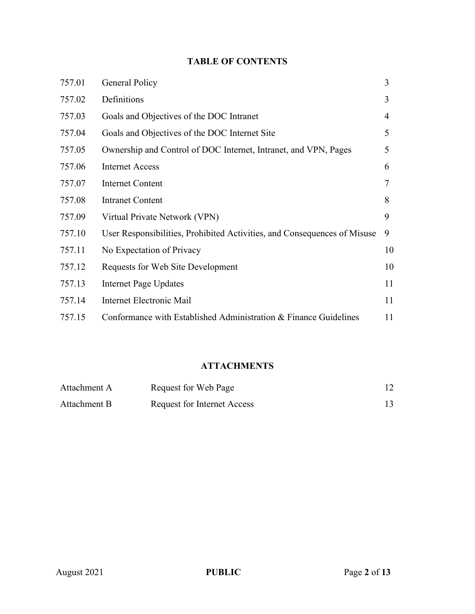# **TABLE OF CONTENTS**

| 757.01 | General Policy                                                           | 3  |
|--------|--------------------------------------------------------------------------|----|
| 757.02 | Definitions                                                              | 3  |
| 757.03 | Goals and Objectives of the DOC Intranet                                 | 4  |
| 757.04 | Goals and Objectives of the DOC Internet Site                            | 5  |
| 757.05 | Ownership and Control of DOC Internet, Intranet, and VPN, Pages          | 5  |
| 757.06 | <b>Internet Access</b>                                                   | 6  |
| 757.07 | <b>Internet Content</b>                                                  | 7  |
| 757.08 | <b>Intranet Content</b>                                                  | 8  |
| 757.09 | Virtual Private Network (VPN)                                            | 9  |
| 757.10 | User Responsibilities, Prohibited Activities, and Consequences of Misuse | 9  |
| 757.11 | No Expectation of Privacy                                                | 10 |
| 757.12 | Requests for Web Site Development                                        | 10 |
| 757.13 | <b>Internet Page Updates</b>                                             | 11 |
| 757.14 | Internet Electronic Mail                                                 | 11 |
| 757.15 | Conformance with Established Administration & Finance Guidelines         | 11 |

# **ATTACHMENTS**

| Attachment A | Request for Web Page               |  |
|--------------|------------------------------------|--|
| Attachment B | <b>Request for Internet Access</b> |  |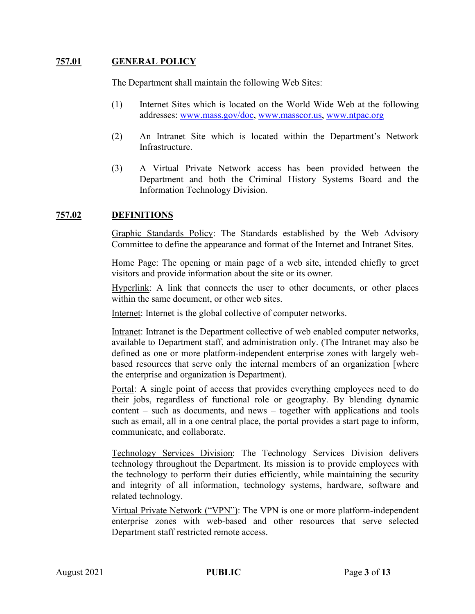## **757.01 GENERAL POLICY**

The Department shall maintain the following Web Sites:

- (1) Internet Sites which is located on the World Wide Web at the following addresses: [www.mass.gov/doc,](http://www.mass.gov/doc) [www.masscor.us,](http://www.masscor.us/) [www.ntpac.org](http://www.ntpac.org/)
- (2) An Intranet Site which is located within the Department's Network Infrastructure.
- (3) A Virtual Private Network access has been provided between the Department and both the Criminal History Systems Board and the Information Technology Division.

#### **757.02 DEFINITIONS**

Graphic Standards Policy: The Standards established by the Web Advisory Committee to define the appearance and format of the Internet and Intranet Sites.

Home Page: The opening or main page of a web site, intended chiefly to greet visitors and provide information about the site or its owner.

Hyperlink: A link that connects the user to other documents, or other places within the same document, or other web sites.

Internet: Internet is the global collective of computer networks.

Intranet: Intranet is the Department collective of web enabled computer networks, available to Department staff, and administration only. (The Intranet may also be defined as one or more platform-independent enterprise zones with largely webbased resources that serve only the internal members of an organization [where the enterprise and organization is Department).

Portal: A single point of access that provides everything employees need to do their jobs, regardless of functional role or geography. By blending dynamic content – such as documents, and news – together with applications and tools such as email, all in a one central place, the portal provides a start page to inform, communicate, and collaborate.

Technology Services Division: The Technology Services Division delivers technology throughout the Department. Its mission is to provide employees with the technology to perform their duties efficiently, while maintaining the security and integrity of all information, technology systems, hardware, software and related technology.

Virtual Private Network ("VPN"): The VPN is one or more platform-independent enterprise zones with web-based and other resources that serve selected Department staff restricted remote access.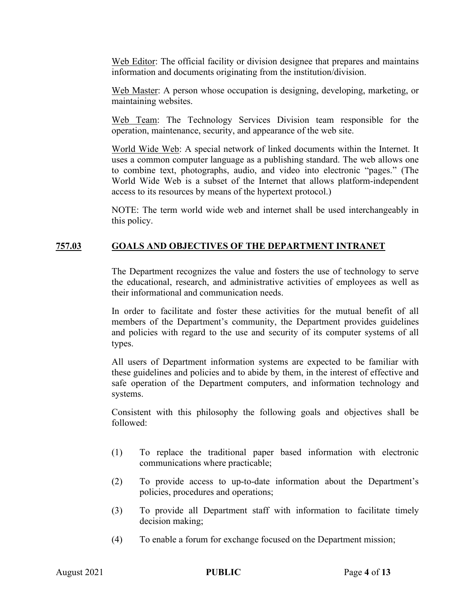Web Editor: The official facility or division designee that prepares and maintains information and documents originating from the institution/division.

Web Master: A person whose occupation is designing, developing, marketing, or maintaining websites.

Web Team: The Technology Services Division team responsible for the operation, maintenance, security, and appearance of the web site.

World Wide Web: A special network of linked documents within the Internet. It uses a common computer language as a publishing standard. The web allows one to combine text, photographs, audio, and video into electronic "pages." (The World Wide Web is a subset of the Internet that allows platform-independent access to its resources by means of the hypertext protocol.)

NOTE: The term world wide web and internet shall be used interchangeably in this policy.

## **757.03 GOALS AND OBJECTIVES OF THE DEPARTMENT INTRANET**

The Department recognizes the value and fosters the use of technology to serve the educational, research, and administrative activities of employees as well as their informational and communication needs.

In order to facilitate and foster these activities for the mutual benefit of all members of the Department's community, the Department provides guidelines and policies with regard to the use and security of its computer systems of all types.

All users of Department information systems are expected to be familiar with these guidelines and policies and to abide by them, in the interest of effective and safe operation of the Department computers, and information technology and systems.

Consistent with this philosophy the following goals and objectives shall be followed:

- (1) To replace the traditional paper based information with electronic communications where practicable;
- (2) To provide access to up-to-date information about the Department's policies, procedures and operations;
- (3) To provide all Department staff with information to facilitate timely decision making;
- (4) To enable a forum for exchange focused on the Department mission;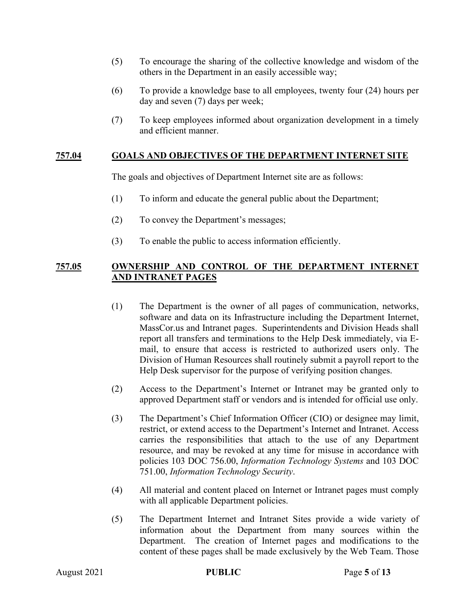- (5) To encourage the sharing of the collective knowledge and wisdom of the others in the Department in an easily accessible way;
- (6) To provide a knowledge base to all employees, twenty four (24) hours per day and seven (7) days per week;
- (7) To keep employees informed about organization development in a timely and efficient manner.

#### **757.04 GOALS AND OBJECTIVES OF THE DEPARTMENT INTERNET SITE**

The goals and objectives of Department Internet site are as follows:

- (1) To inform and educate the general public about the Department;
- (2) To convey the Department's messages;
- (3) To enable the public to access information efficiently.

#### **757.05 OWNERSHIP AND CONTROL OF THE DEPARTMENT INTERNET AND INTRANET PAGES**

- (1) The Department is the owner of all pages of communication, networks, software and data on its Infrastructure including the Department Internet, MassCor.us and Intranet pages. Superintendents and Division Heads shall report all transfers and terminations to the Help Desk immediately, via Email, to ensure that access is restricted to authorized users only. The Division of Human Resources shall routinely submit a payroll report to the Help Desk supervisor for the purpose of verifying position changes.
- (2) Access to the Department's Internet or Intranet may be granted only to approved Department staff or vendors and is intended for official use only.
- (3) The Department's Chief Information Officer (CIO) or designee may limit, restrict, or extend access to the Department's Internet and Intranet. Access carries the responsibilities that attach to the use of any Department resource, and may be revoked at any time for misuse in accordance with policies 103 DOC 756.00, *Information Technology Systems* and 103 DOC 751.00, *Information Technology Security*.
- (4) All material and content placed on Internet or Intranet pages must comply with all applicable Department policies.
- (5) The Department Internet and Intranet Sites provide a wide variety of information about the Department from many sources within the Department. The creation of Internet pages and modifications to the content of these pages shall be made exclusively by the Web Team. Those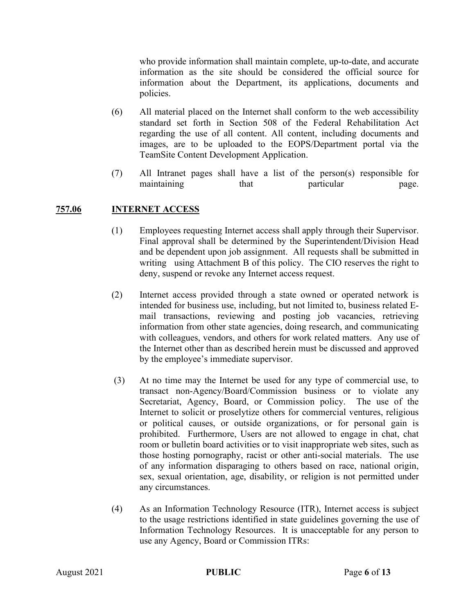who provide information shall maintain complete, up-to-date, and accurate information as the site should be considered the official source for information about the Department, its applications, documents and policies.

- (6) All material placed on the Internet shall conform to the web accessibility standard set forth in Section 508 of the Federal Rehabilitation Act regarding the use of all content. All content, including documents and images, are to be uploaded to the EOPS/Department portal via the TeamSite Content Development Application.
- (7) All Intranet pages shall have a list of the person(s) responsible for maintaining that particular page.

#### **757.06 INTERNET ACCESS**

- (1) Employees requesting Internet access shall apply through their Supervisor. Final approval shall be determined by the Superintendent/Division Head and be dependent upon job assignment. All requests shall be submitted in writing using Attachment B of this policy. The CIO reserves the right to deny, suspend or revoke any Internet access request.
- (2) Internet access provided through a state owned or operated network is intended for business use, including, but not limited to, business related Email transactions, reviewing and posting job vacancies, retrieving information from other state agencies, doing research, and communicating with colleagues, vendors, and others for work related matters. Any use of the Internet other than as described herein must be discussed and approved by the employee's immediate supervisor.
- (3) At no time may the Internet be used for any type of commercial use, to transact non-Agency/Board/Commission business or to violate any Secretariat, Agency, Board, or Commission policy. The use of the Internet to solicit or proselytize others for commercial ventures, religious or political causes, or outside organizations, or for personal gain is prohibited. Furthermore, Users are not allowed to engage in chat, chat room or bulletin board activities or to visit inappropriate web sites, such as those hosting pornography, racist or other anti-social materials. The use of any information disparaging to others based on race, national origin, sex, sexual orientation, age, disability, or religion is not permitted under any circumstances.
- (4) As an Information Technology Resource (ITR), Internet access is subject to the usage restrictions identified in state guidelines governing the use of Information Technology Resources. It is unacceptable for any person to use any Agency, Board or Commission ITRs: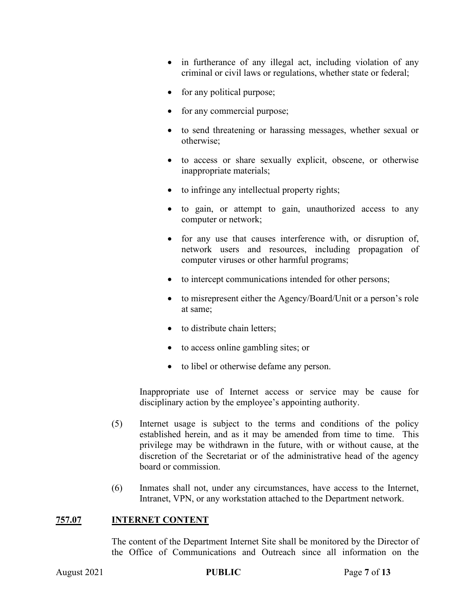- in furtherance of any illegal act, including violation of any criminal or civil laws or regulations, whether state or federal;
- for any political purpose;
- for any commercial purpose;
- to send threatening or harassing messages, whether sexual or otherwise;
- to access or share sexually explicit, obscene, or otherwise inappropriate materials;
- to infringe any intellectual property rights;
- to gain, or attempt to gain, unauthorized access to any computer or network;
- for any use that causes interference with, or disruption of, network users and resources, including propagation of computer viruses or other harmful programs;
- to intercept communications intended for other persons;
- to misrepresent either the Agency/Board/Unit or a person's role at same;
- to distribute chain letters;
- to access online gambling sites; or
- to libel or otherwise defame any person.

Inappropriate use of Internet access or service may be cause for disciplinary action by the employee's appointing authority.

- (5) Internet usage is subject to the terms and conditions of the policy established herein, and as it may be amended from time to time. This privilege may be withdrawn in the future, with or without cause, at the discretion of the Secretariat or of the administrative head of the agency board or commission.
- (6) Inmates shall not, under any circumstances, have access to the Internet, Intranet, VPN, or any workstation attached to the Department network.

#### **757.07 INTERNET CONTENT**

The content of the Department Internet Site shall be monitored by the Director of the Office of Communications and Outreach since all information on the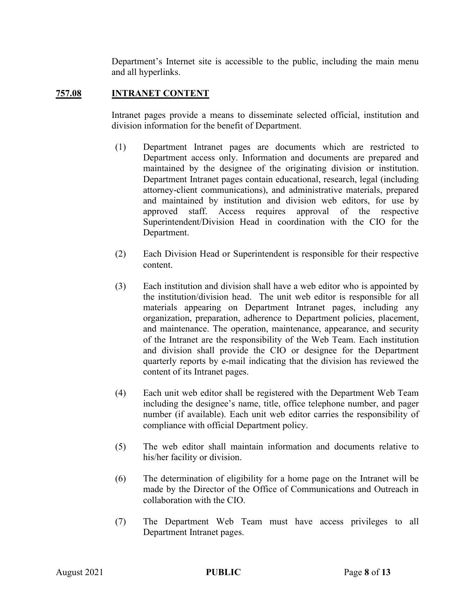Department's Internet site is accessible to the public, including the main menu and all hyperlinks.

## **757.08 INTRANET CONTENT**

Intranet pages provide a means to disseminate selected official, institution and division information for the benefit of Department.

- (1) Department Intranet pages are documents which are restricted to Department access only. Information and documents are prepared and maintained by the designee of the originating division or institution. Department Intranet pages contain educational, research, legal (including attorney-client communications), and administrative materials, prepared and maintained by institution and division web editors, for use by approved staff. Access requires approval of the respective Superintendent/Division Head in coordination with the CIO for the Department.
- (2) Each Division Head or Superintendent is responsible for their respective content.
- (3) Each institution and division shall have a web editor who is appointed by the institution/division head. The unit web editor is responsible for all materials appearing on Department Intranet pages, including any organization, preparation, adherence to Department policies, placement, and maintenance. The operation, maintenance, appearance, and security of the Intranet are the responsibility of the Web Team. Each institution and division shall provide the CIO or designee for the Department quarterly reports by e-mail indicating that the division has reviewed the content of its Intranet pages.
- (4) Each unit web editor shall be registered with the Department Web Team including the designee's name, title, office telephone number, and pager number (if available). Each unit web editor carries the responsibility of compliance with official Department policy.
- (5) The web editor shall maintain information and documents relative to his/her facility or division.
- (6) The determination of eligibility for a home page on the Intranet will be made by the Director of the Office of Communications and Outreach in collaboration with the CIO.
- (7) The Department Web Team must have access privileges to all Department Intranet pages.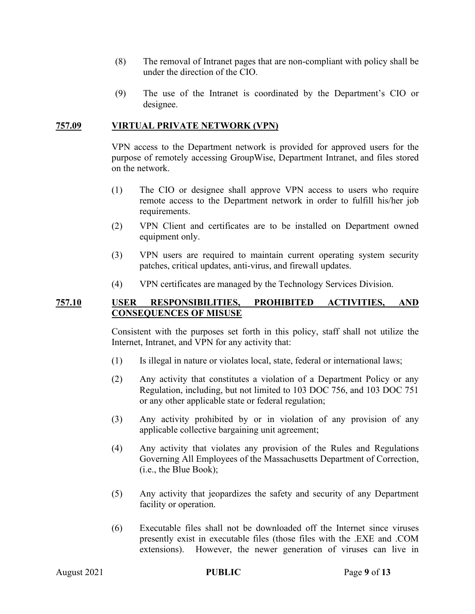- (8) The removal of Intranet pages that are non-compliant with policy shall be under the direction of the CIO.
- (9) The use of the Intranet is coordinated by the Department's CIO or designee.

#### **757.09 VIRTUAL PRIVATE NETWORK (VPN)**

VPN access to the Department network is provided for approved users for the purpose of remotely accessing GroupWise, Department Intranet, and files stored on the network.

- (1) The CIO or designee shall approve VPN access to users who require remote access to the Department network in order to fulfill his/her job requirements.
- (2) VPN Client and certificates are to be installed on Department owned equipment only.
- (3) VPN users are required to maintain current operating system security patches, critical updates, anti-virus, and firewall updates.
- (4) VPN certificates are managed by the Technology Services Division.

#### **757.10 USER RESPONSIBILITIES, PROHIBITED ACTIVITIES, AND CONSEQUENCES OF MISUSE**

Consistent with the purposes set forth in this policy, staff shall not utilize the Internet, Intranet, and VPN for any activity that:

- (1) Is illegal in nature or violates local, state, federal or international laws;
- (2) Any activity that constitutes a violation of a Department Policy or any Regulation, including, but not limited to 103 DOC 756, and 103 DOC 751 or any other applicable state or federal regulation;
- (3) Any activity prohibited by or in violation of any provision of any applicable collective bargaining unit agreement;
- (4) Any activity that violates any provision of the Rules and Regulations Governing All Employees of the Massachusetts Department of Correction, (i.e., the Blue Book);
- (5) Any activity that jeopardizes the safety and security of any Department facility or operation.
- (6) Executable files shall not be downloaded off the Internet since viruses presently exist in executable files (those files with the .EXE and .COM extensions). However, the newer generation of viruses can live in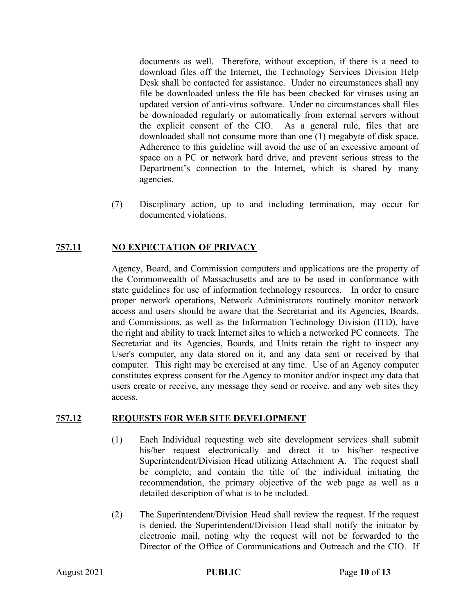documents as well. Therefore, without exception, if there is a need to download files off the Internet, the Technology Services Division Help Desk shall be contacted for assistance. Under no circumstances shall any file be downloaded unless the file has been checked for viruses using an updated version of anti-virus software. Under no circumstances shall files be downloaded regularly or automatically from external servers without the explicit consent of the CIO. As a general rule, files that are downloaded shall not consume more than one (1) megabyte of disk space. Adherence to this guideline will avoid the use of an excessive amount of space on a PC or network hard drive, and prevent serious stress to the Department's connection to the Internet, which is shared by many agencies.

(7) Disciplinary action, up to and including termination, may occur for documented violations.

## **757.11 NO EXPECTATION OF PRIVACY**

Agency, Board, and Commission computers and applications are the property of the Commonwealth of Massachusetts and are to be used in conformance with state guidelines for use of information technology resources. In order to ensure proper network operations, Network Administrators routinely monitor network access and users should be aware that the Secretariat and its Agencies, Boards, and Commissions, as well as the Information Technology Division (ITD), have the right and ability to track Internet sites to which a networked PC connects. The Secretariat and its Agencies, Boards, and Units retain the right to inspect any User's computer, any data stored on it, and any data sent or received by that computer. This right may be exercised at any time. Use of an Agency computer constitutes express consent for the Agency to monitor and/or inspect any data that users create or receive, any message they send or receive, and any web sites they access.

#### **757.12 REQUESTS FOR WEB SITE DEVELOPMENT**

- (1) Each Individual requesting web site development services shall submit his/her request electronically and direct it to his/her respective Superintendent/Division Head utilizing Attachment A. The request shall be complete, and contain the title of the individual initiating the recommendation, the primary objective of the web page as well as a detailed description of what is to be included.
- (2) The Superintendent/Division Head shall review the request. If the request is denied, the Superintendent/Division Head shall notify the initiator by electronic mail, noting why the request will not be forwarded to the Director of the Office of Communications and Outreach and the CIO. If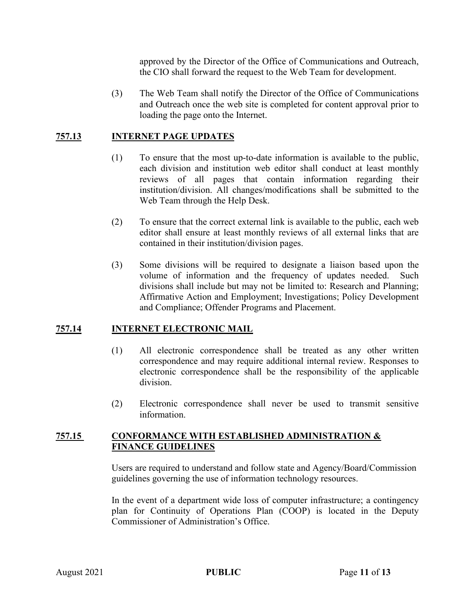approved by the Director of the Office of Communications and Outreach, the CIO shall forward the request to the Web Team for development.

(3) The Web Team shall notify the Director of the Office of Communications and Outreach once the web site is completed for content approval prior to loading the page onto the Internet.

#### **757.13 INTERNET PAGE UPDATES**

- (1) To ensure that the most up-to-date information is available to the public, each division and institution web editor shall conduct at least monthly reviews of all pages that contain information regarding their institution/division. All changes/modifications shall be submitted to the Web Team through the Help Desk.
- (2) To ensure that the correct external link is available to the public, each web editor shall ensure at least monthly reviews of all external links that are contained in their institution/division pages.
- (3) Some divisions will be required to designate a liaison based upon the volume of information and the frequency of updates needed. Such divisions shall include but may not be limited to: Research and Planning; Affirmative Action and Employment; Investigations; Policy Development and Compliance; Offender Programs and Placement.

#### **757.14 INTERNET ELECTRONIC MAIL**

- (1) All electronic correspondence shall be treated as any other written correspondence and may require additional internal review. Responses to electronic correspondence shall be the responsibility of the applicable division.
- (2) Electronic correspondence shall never be used to transmit sensitive information.

#### **757.15 CONFORMANCE WITH ESTABLISHED ADMINISTRATION & FINANCE GUIDELINES**

Users are required to understand and follow state and Agency/Board/Commission guidelines governing the use of information technology resources.

In the event of a department wide loss of computer infrastructure; a contingency plan for Continuity of Operations Plan (COOP) is located in the Deputy Commissioner of Administration's Office.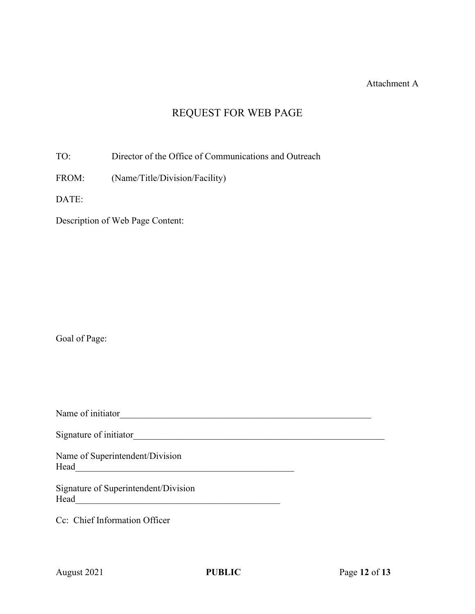#### Attachment A

# REQUEST FOR WEB PAGE

TO: Director of the Office of Communications and Outreach

FROM: (Name/Title/Division/Facility)

DATE:

Description of Web Page Content:

Goal of Page:

Name of initiator\_\_\_\_\_\_\_\_\_\_\_\_\_\_\_\_\_\_\_\_\_\_\_\_\_\_\_\_\_\_\_\_\_\_\_\_\_\_\_\_\_\_\_\_\_\_\_\_\_\_\_\_\_\_

Signature of initiator\_\_\_\_\_\_\_\_\_\_\_\_\_\_\_\_\_\_\_\_\_\_\_\_\_\_\_\_\_\_\_\_\_\_\_\_\_\_\_\_\_\_\_\_\_\_\_\_\_\_\_\_\_\_

Name of Superintendent/Division Head\_\_\_\_\_\_\_\_\_\_\_\_\_\_\_\_\_\_\_\_\_\_\_\_\_\_\_\_\_\_\_\_\_\_\_\_\_\_\_\_\_\_\_\_\_\_\_

Signature of Superintendent/Division Head\_\_\_\_\_\_\_\_\_\_\_\_\_\_\_\_\_\_\_\_\_\_\_\_\_\_\_\_\_\_\_\_\_\_\_\_\_\_\_\_\_\_\_\_

Cc: Chief Information Officer